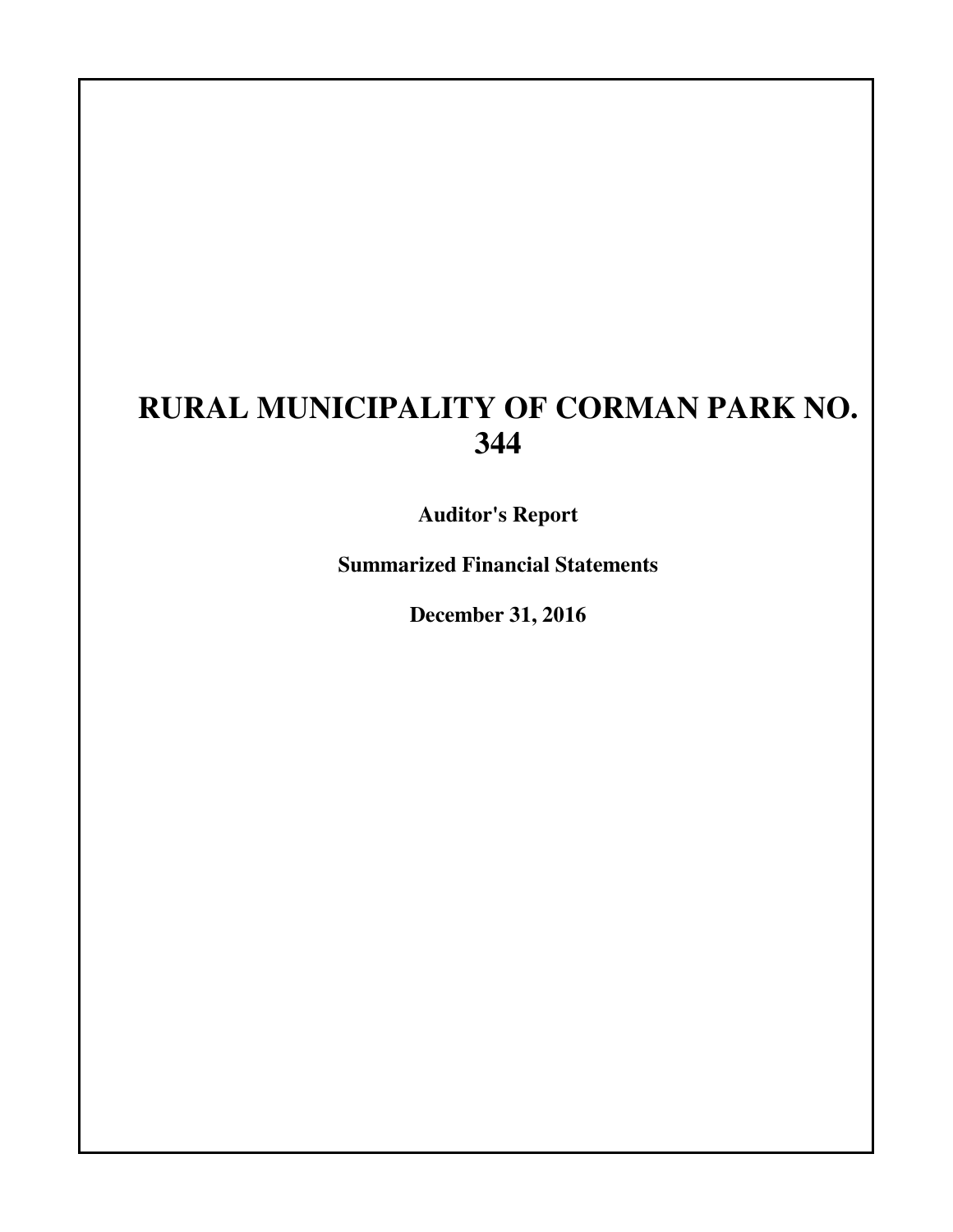**Auditor's Report**

**Summarized Financial Statements**

**December 31, 2016**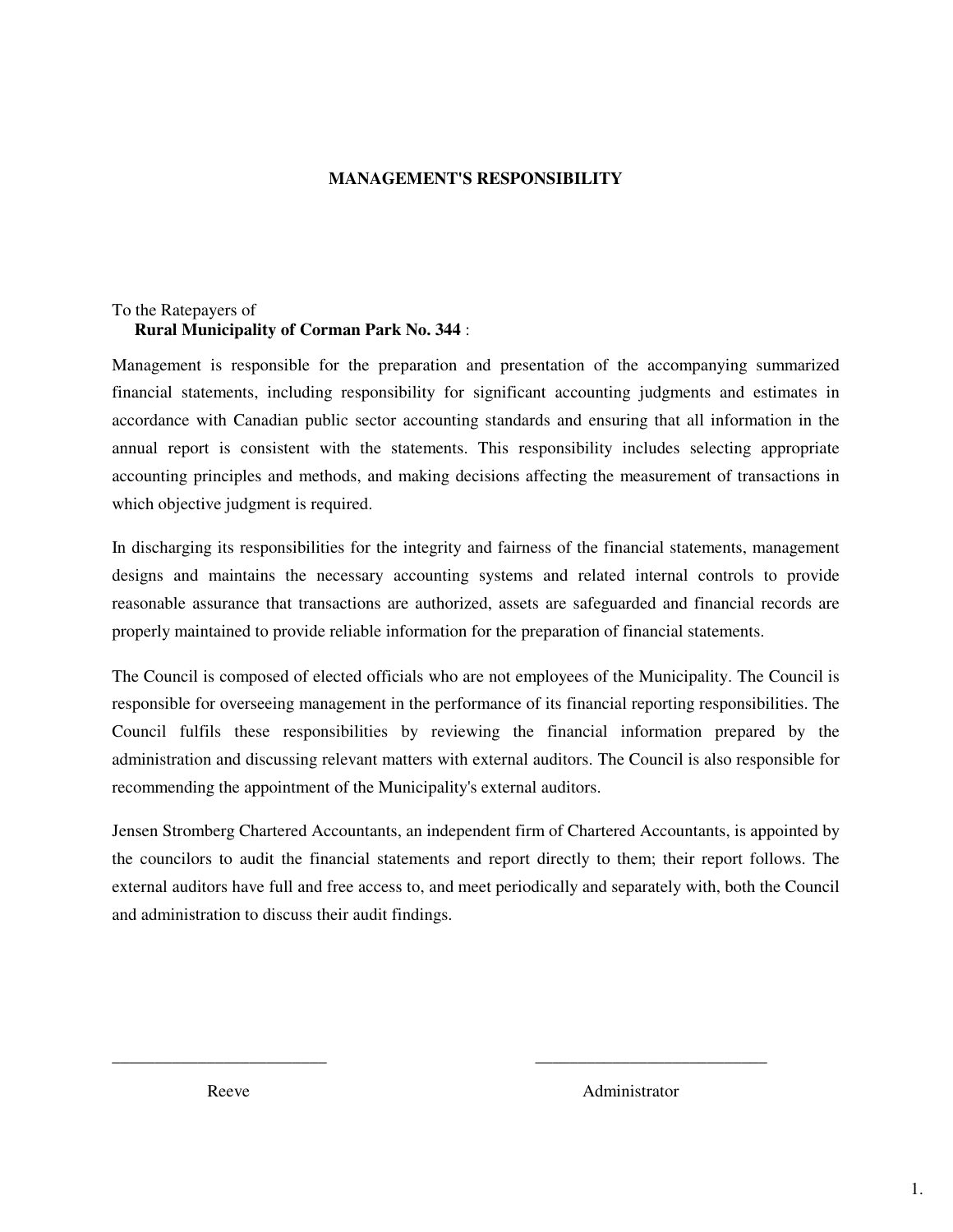#### **MANAGEMENT'S RESPONSIBILITY**

#### To the Ratepayers of **Rural Municipality of Corman Park No. 344** :

Management is responsible for the preparation and presentation of the accompanying summarized financial statements, including responsibility for significant accounting judgments and estimates in accordance with Canadian public sector accounting standards and ensuring that all information in the annual report is consistent with the statements. This responsibility includes selecting appropriate accounting principles and methods, and making decisions affecting the measurement of transactions in which objective judgment is required.

In discharging its responsibilities for the integrity and fairness of the financial statements, management designs and maintains the necessary accounting systems and related internal controls to provide reasonable assurance that transactions are authorized, assets are safeguarded and financial records are properly maintained to provide reliable information for the preparation of financial statements.

The Council is composed of elected officials who are not employees of the Municipality. The Council is responsible for overseeing management in the performance of its financial reporting responsibilities. The Council fulfils these responsibilities by reviewing the financial information prepared by the administration and discussing relevant matters with external auditors. The Council is also responsible for recommending the appointment of the Municipality's external auditors.

Jensen Stromberg Chartered Accountants, an independent firm of Chartered Accountants, is appointed by the councilors to audit the financial statements and report directly to them; their report follows. The external auditors have full and free access to, and meet periodically and separately with, both the Council and administration to discuss their audit findings.

\_\_\_\_\_\_\_\_\_\_\_\_\_\_\_\_\_\_\_\_\_\_\_\_\_ \_\_\_\_\_\_\_\_\_\_\_\_\_\_\_\_\_\_\_\_\_\_\_\_\_\_\_

Reeve Administrator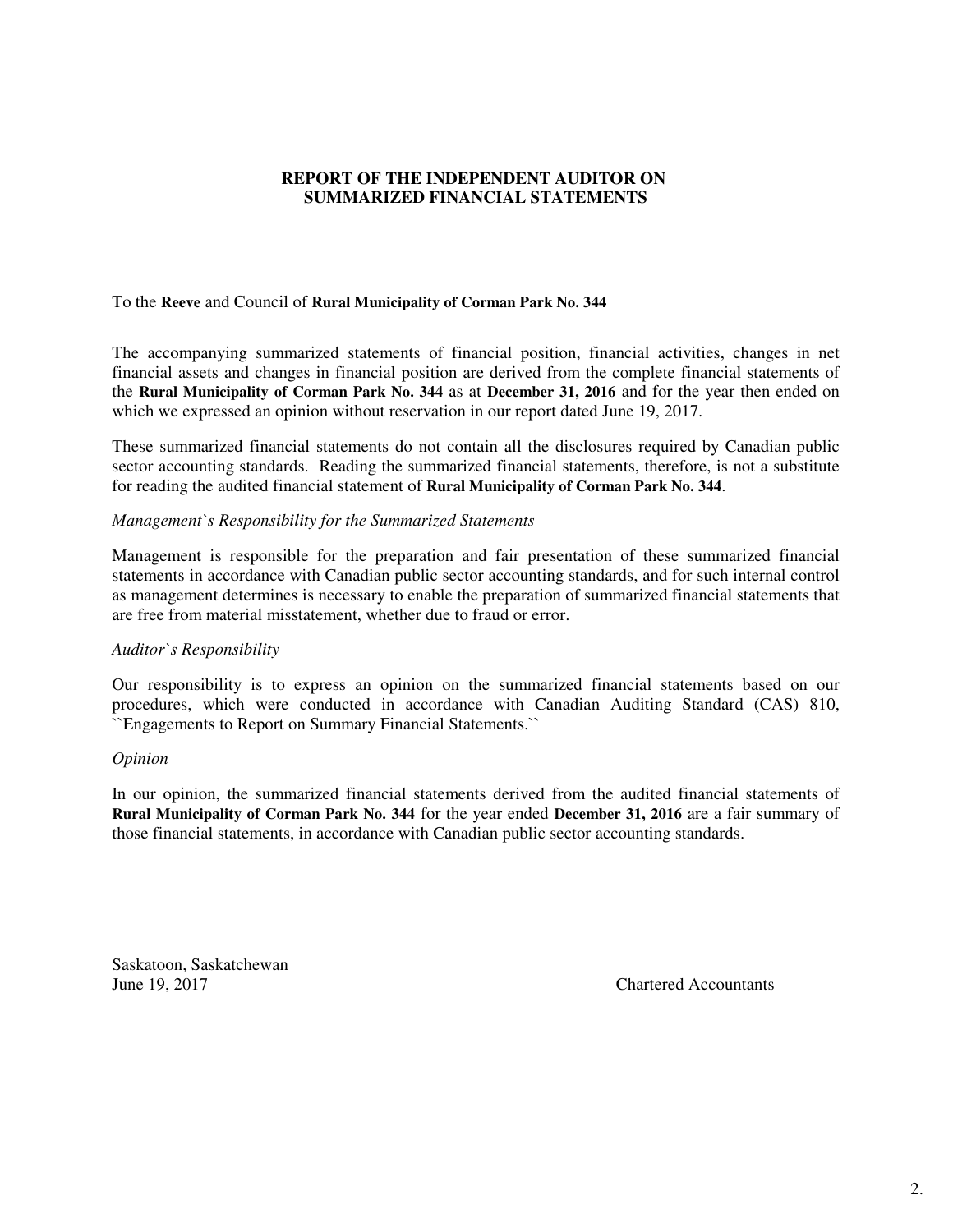#### **REPORT OF THE INDEPENDENT AUDITOR ON SUMMARIZED FINANCIAL STATEMENTS**

#### To the **Reeve** and Council of **Rural Municipality of Corman Park No. 344**

The accompanying summarized statements of financial position, financial activities, changes in net financial assets and changes in financial position are derived from the complete financial statements of the **Rural Municipality of Corman Park No. 344** as at **December 31, 2016** and for the year then ended on which we expressed an opinion without reservation in our report dated June 19, 2017.

These summarized financial statements do not contain all the disclosures required by Canadian public sector accounting standards. Reading the summarized financial statements, therefore, is not a substitute for reading the audited financial statement of **Rural Municipality of Corman Park No. 344**.

#### *Management`s Responsibility for the Summarized Statements*

Management is responsible for the preparation and fair presentation of these summarized financial statements in accordance with Canadian public sector accounting standards, and for such internal control as management determines is necessary to enable the preparation of summarized financial statements that are free from material misstatement, whether due to fraud or error.

#### *Auditor`s Responsibility*

Our responsibility is to express an opinion on the summarized financial statements based on our procedures, which were conducted in accordance with Canadian Auditing Standard (CAS) 810, ``Engagements to Report on Summary Financial Statements.``

#### *Opinion*

In our opinion, the summarized financial statements derived from the audited financial statements of **Rural Municipality of Corman Park No. 344** for the year ended **December 31, 2016** are a fair summary of those financial statements, in accordance with Canadian public sector accounting standards.

Saskatoon, Saskatchewan<br>June 19, 2017

**Chartered Accountants**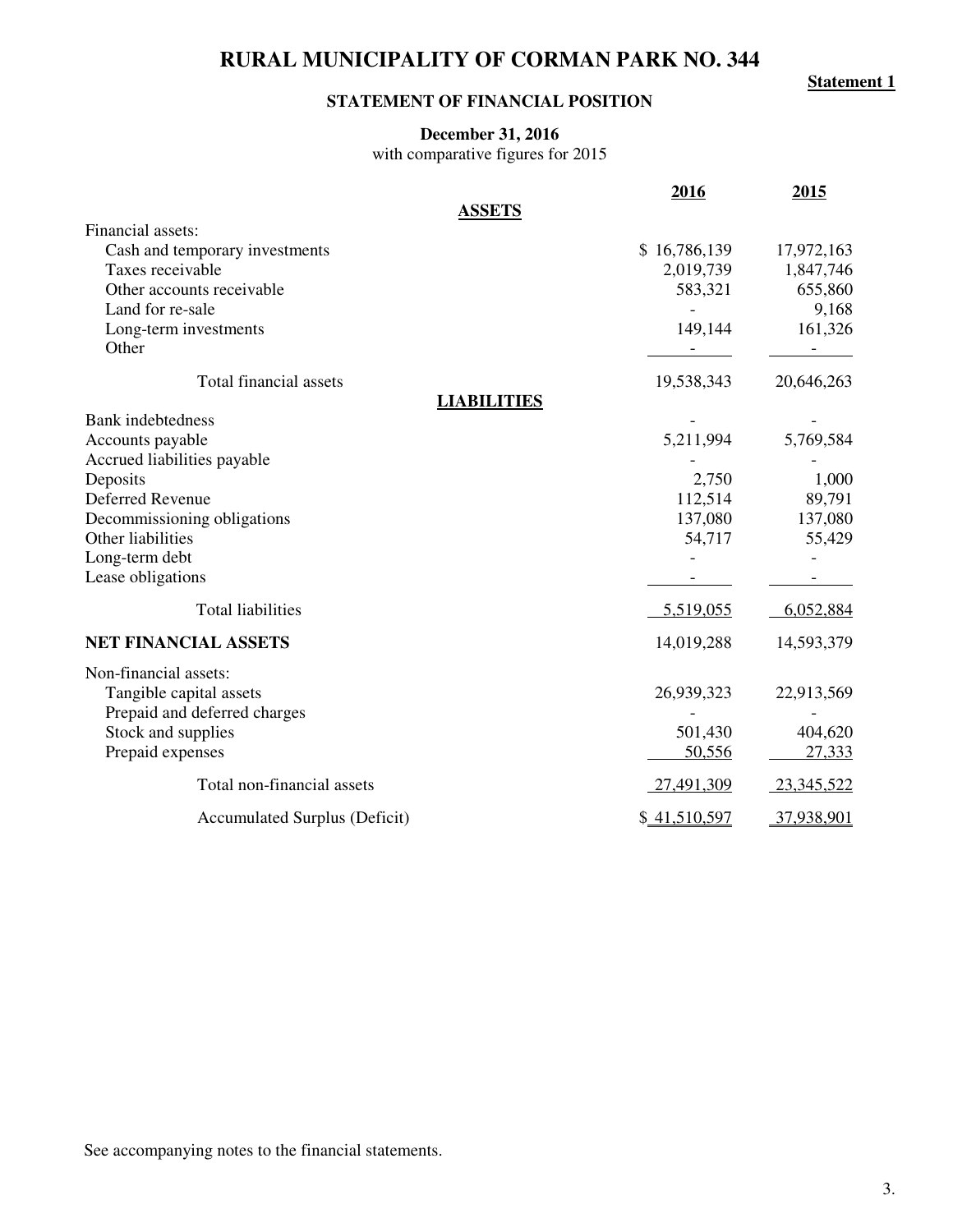**Statement 1**

#### **STATEMENT OF FINANCIAL POSITION**

## **December 31, 2016**

with comparative figures for 2015

|                                      | 2016         | 2015       |
|--------------------------------------|--------------|------------|
| <b>ASSETS</b>                        |              |            |
| Financial assets:                    |              |            |
| Cash and temporary investments       | \$16,786,139 | 17,972,163 |
| Taxes receivable                     | 2,019,739    | 1,847,746  |
| Other accounts receivable            | 583,321      | 655,860    |
| Land for re-sale                     |              | 9,168      |
| Long-term investments                | 149,144      | 161,326    |
| Other                                |              |            |
| <b>Total financial assets</b>        | 19,538,343   | 20,646,263 |
| <b>LIABILITIES</b>                   |              |            |
| Bank indebtedness                    |              |            |
| Accounts payable                     | 5,211,994    | 5,769,584  |
| Accrued liabilities payable          |              |            |
| Deposits                             | 2,750        | 1,000      |
| Deferred Revenue                     | 112,514      | 89,791     |
| Decommissioning obligations          | 137,080      | 137,080    |
| Other liabilities                    | 54,717       | 55,429     |
| Long-term debt                       |              |            |
| Lease obligations                    |              |            |
| <b>Total liabilities</b>             | 5,519,055    | 6,052,884  |
| <b>NET FINANCIAL ASSETS</b>          | 14,019,288   | 14,593,379 |
| Non-financial assets:                |              |            |
| Tangible capital assets              | 26,939,323   | 22,913,569 |
| Prepaid and deferred charges         |              |            |
| Stock and supplies                   | 501,430      | 404,620    |
| Prepaid expenses                     | 50,556       | 27,333     |
| Total non-financial assets           | 27,491,309   | 23,345,522 |
| <b>Accumulated Surplus (Deficit)</b> | \$41,510,597 | 37,938,901 |

See accompanying notes to the financial statements.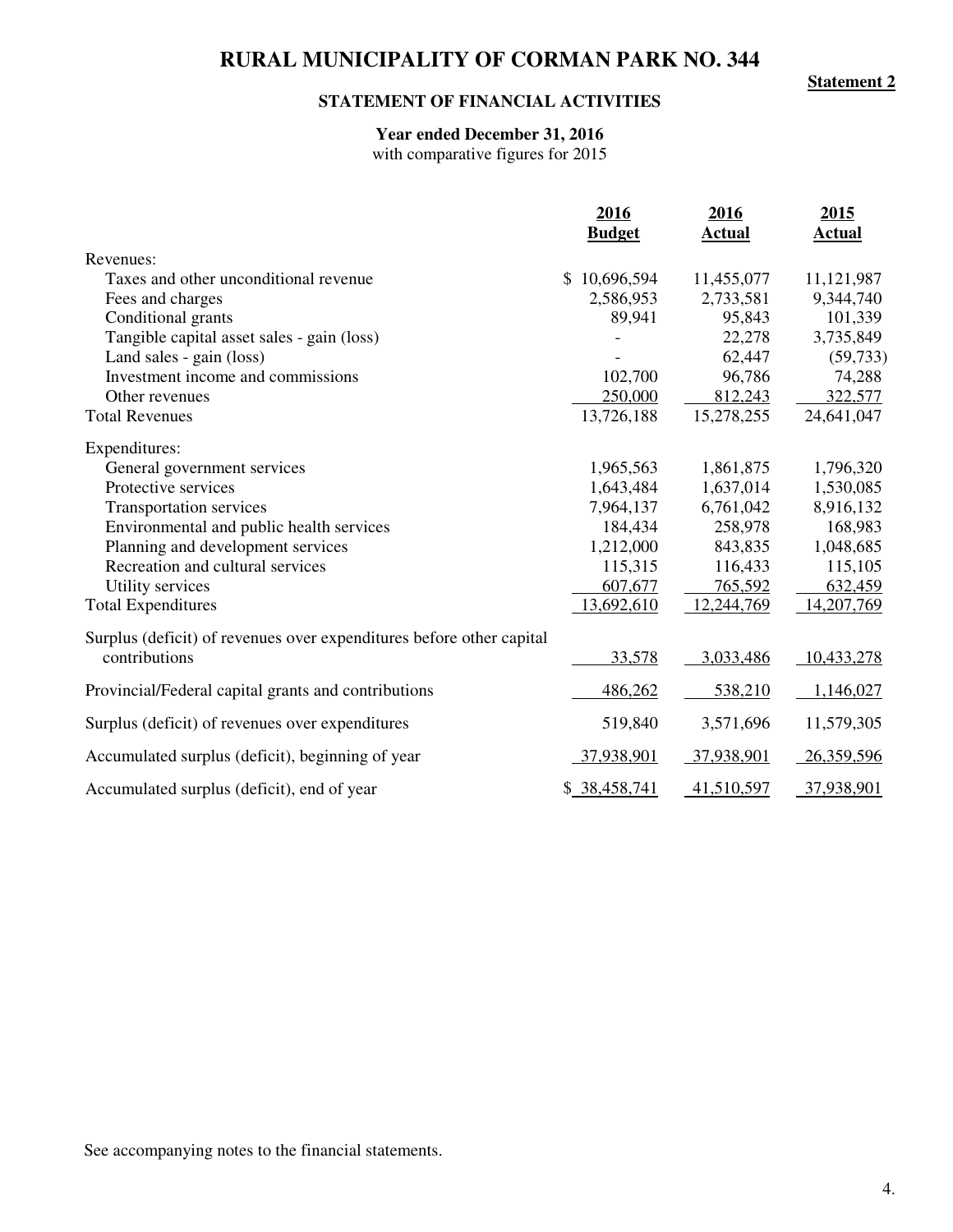**Statement 2**

## **STATEMENT OF FINANCIAL ACTIVITIES**

## **Year ended December 31, 2016**

with comparative figures for 2015

|                                                                      | 2016             | 2016          | <u>2015</u>   |
|----------------------------------------------------------------------|------------------|---------------|---------------|
|                                                                      | <b>Budget</b>    | <b>Actual</b> | <b>Actual</b> |
| Revenues:                                                            |                  |               |               |
| Taxes and other unconditional revenue                                | 10,696,594<br>\$ | 11,455,077    | 11,121,987    |
| Fees and charges                                                     | 2,586,953        | 2,733,581     | 9,344,740     |
| Conditional grants                                                   | 89,941           | 95,843        | 101,339       |
| Tangible capital asset sales - gain (loss)                           |                  | 22,278        | 3,735,849     |
| Land sales - gain (loss)                                             |                  | 62,447        | (59, 733)     |
| Investment income and commissions                                    | 102,700          | 96,786        | 74,288        |
| Other revenues                                                       | 250,000          | 812,243       | 322,577       |
| <b>Total Revenues</b>                                                | 13,726,188       | 15,278,255    | 24,641,047    |
| Expenditures:                                                        |                  |               |               |
| General government services                                          | 1,965,563        | 1,861,875     | 1,796,320     |
| Protective services                                                  | 1,643,484        | 1,637,014     | 1,530,085     |
| Transportation services                                              | 7,964,137        | 6,761,042     | 8,916,132     |
| Environmental and public health services                             | 184,434          | 258,978       | 168,983       |
| Planning and development services                                    | 1,212,000        | 843,835       | 1,048,685     |
| Recreation and cultural services                                     | 115,315          | 116,433       | 115,105       |
| Utility services                                                     | 607,677          | 765,592       | 632,459       |
| <b>Total Expenditures</b>                                            | 13,692,610       | 12,244,769    | 14,207,769    |
| Surplus (deficit) of revenues over expenditures before other capital |                  |               |               |
| contributions                                                        | 33,578           | 3,033,486     | 10,433,278    |
| Provincial/Federal capital grants and contributions                  | 486,262          | 538,210       | 1,146,027     |
| Surplus (deficit) of revenues over expenditures                      | 519,840          | 3,571,696     | 11,579,305    |
| Accumulated surplus (deficit), beginning of year                     | 37,938,901       | 37,938,901    | 26,359,596    |
| Accumulated surplus (deficit), end of year                           | \$38,458,741     | 41,510,597    | 37,938,901    |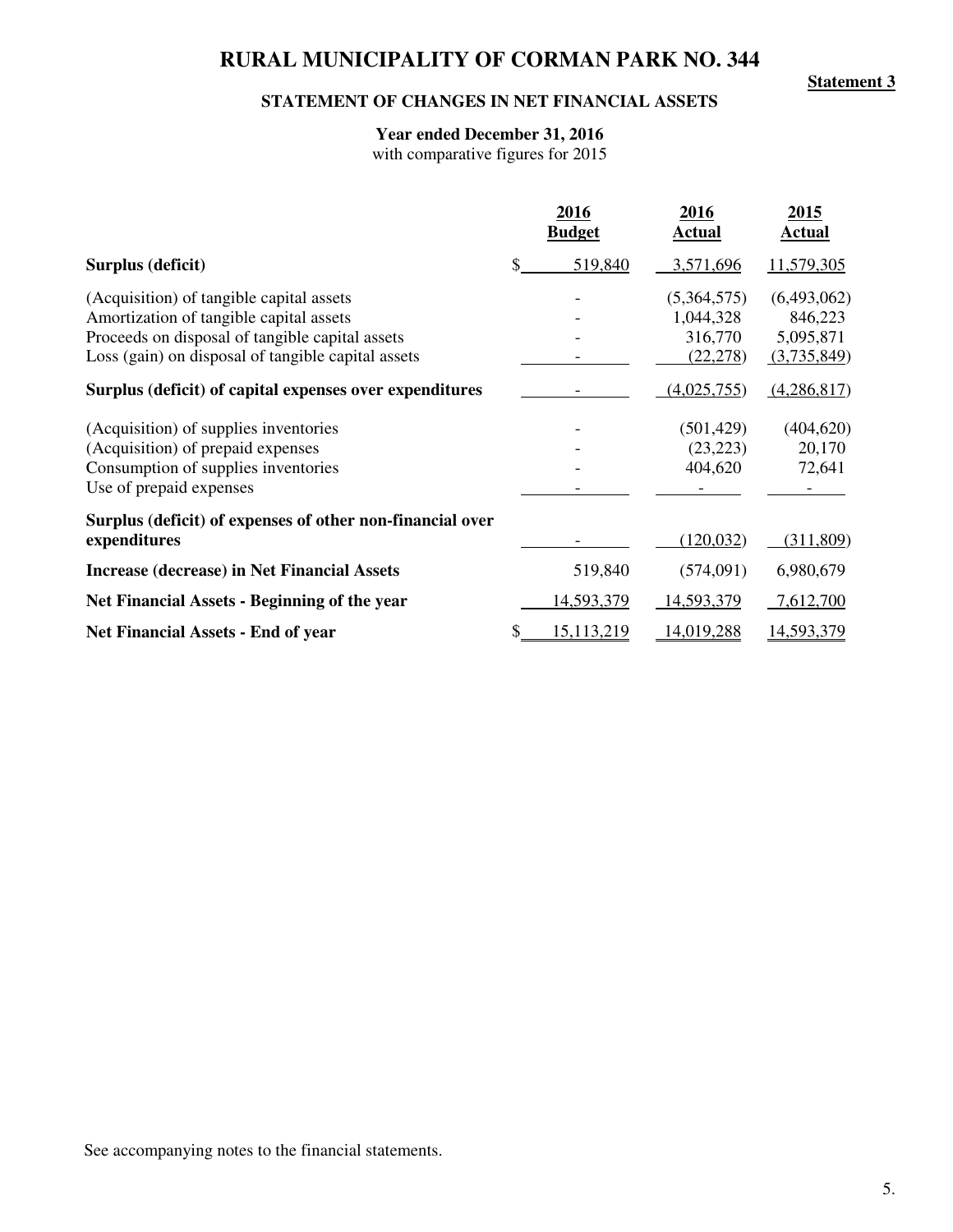**Statement 3**

### **STATEMENT OF CHANGES IN NET FINANCIAL ASSETS**

## **Year ended December 31, 2016**

with comparative figures for 2015

|                                                                                            |    | 2016<br><b>Budget</b> | 2016<br><b>Actual</b> | 2015<br><b>Actual</b> |
|--------------------------------------------------------------------------------------------|----|-----------------------|-----------------------|-----------------------|
| Surplus (deficit)                                                                          | S. | 519,840               | 3,571,696             | 11,579,305            |
| (Acquisition) of tangible capital assets                                                   |    |                       | (5,364,575)           | (6,493,062)           |
| Amortization of tangible capital assets<br>Proceeds on disposal of tangible capital assets |    |                       | 1,044,328<br>316,770  | 846,223<br>5,095,871  |
| Loss (gain) on disposal of tangible capital assets                                         |    |                       | (22, 278)             | (3,735,849)           |
| Surplus (deficit) of capital expenses over expenditures                                    |    |                       | (4,025,755)           | (4,286,817)           |
| (Acquisition) of supplies inventories                                                      |    |                       | (501, 429)            | (404, 620)            |
| (Acquisition) of prepaid expenses                                                          |    |                       | (23, 223)             | 20,170                |
| Consumption of supplies inventories<br>Use of prepaid expenses                             |    |                       | 404,620               | 72,641                |
| Surplus (deficit) of expenses of other non-financial over<br>expenditures                  |    |                       | (120, 032)            | (311,809)             |
|                                                                                            |    |                       |                       |                       |
| Increase (decrease) in Net Financial Assets                                                |    | 519,840               | (574,091)             | 6,980,679             |
| Net Financial Assets - Beginning of the year                                               |    | 14,593,379            | 14,593,379            | 7,612,700             |
| <b>Net Financial Assets - End of year</b>                                                  | S  | 15,113,219            | 14,019,288            | 14,593,379            |